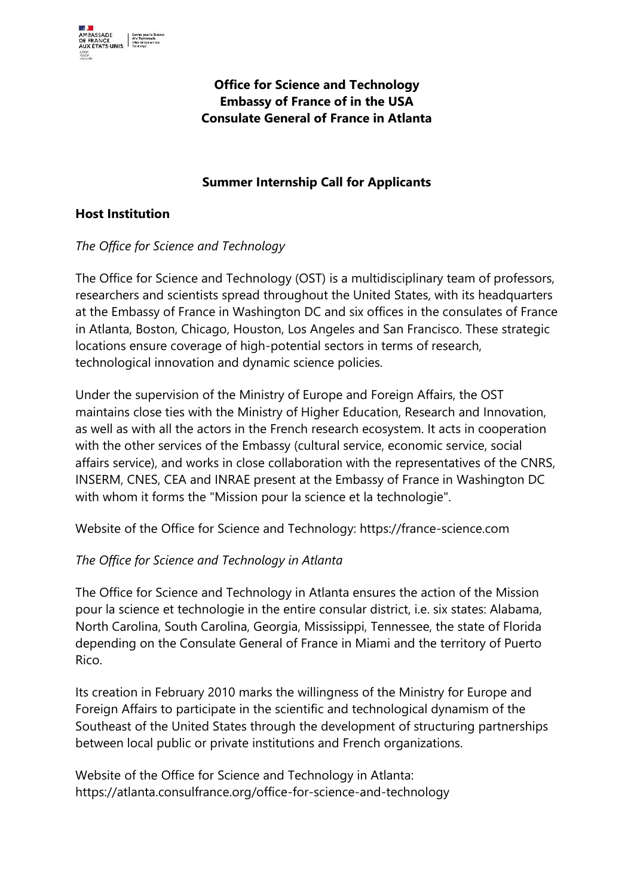

# **Office for Science and Technology Embassy of France of in the USA Consulate General of France in Atlanta**

# **Summer Internship Call for Applicants**

#### **Host Institution**

### *The Office for Science and Technology*

The Office for Science and Technology (OST) is a multidisciplinary team of professors, researchers and scientists spread throughout the United States, with its headquarters at the Embassy of France in Washington DC and six offices in the consulates of France in Atlanta, Boston, Chicago, Houston, Los Angeles and San Francisco. These strategic locations ensure coverage of high-potential sectors in terms of research, technological innovation and dynamic science policies.

Under the supervision of the Ministry of Europe and Foreign Affairs, the OST maintains close ties with the Ministry of Higher Education, Research and Innovation, as well as with all the actors in the French research ecosystem. It acts in cooperation with the other services of the Embassy (cultural service, economic service, social affairs service), and works in close collaboration with the representatives of the CNRS, INSERM, CNES, CEA and INRAE present at the Embassy of France in Washington DC with whom it forms the "Mission pour la science et la technologie".

Website of the Office for Science and Technology: https://france-science.com

### *The Office for Science and Technology in Atlanta*

The Office for Science and Technology in Atlanta ensures the action of the Mission pour la science et technologie in the entire consular district, i.e. six states: Alabama, North Carolina, South Carolina, Georgia, Mississippi, Tennessee, the state of Florida depending on the Consulate General of France in Miami and the territory of Puerto Rico.

Its creation in February 2010 marks the willingness of the Ministry for Europe and Foreign Affairs to participate in the scientific and technological dynamism of the Southeast of the United States through the development of structuring partnerships between local public or private institutions and French organizations.

Website of the Office for Science and Technology in Atlanta: https://atlanta.consulfrance.org/office-for-science-and-technology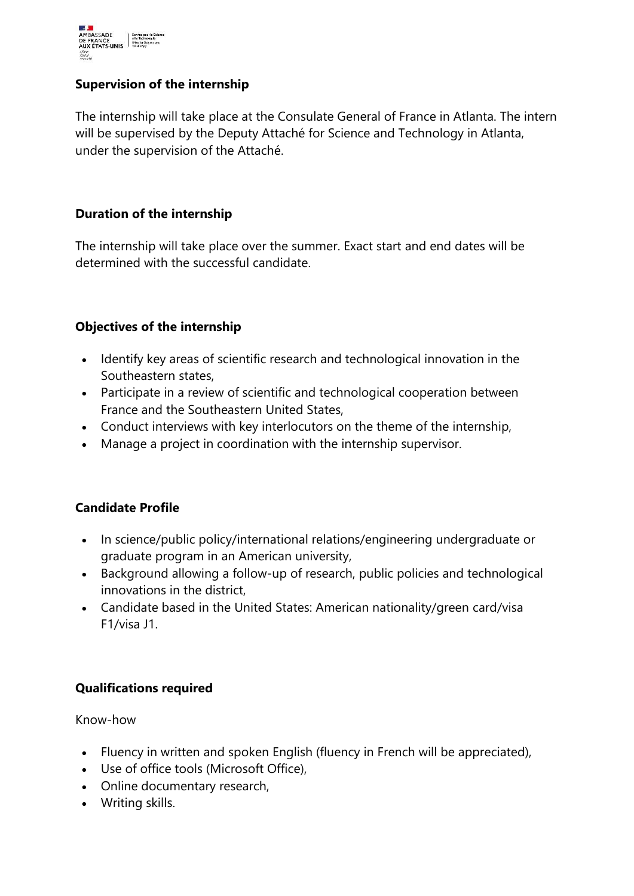

### **Supervision of the internship**

The internship will take place at the Consulate General of France in Atlanta. The intern will be supervised by the Deputy Attaché for Science and Technology in Atlanta, under the supervision of the Attaché.

#### **Duration of the internship**

The internship will take place over the summer. Exact start and end dates will be determined with the successful candidate.

### **Objectives of the internship**

- Identify key areas of scientific research and technological innovation in the Southeastern states,
- Participate in a review of scientific and technological cooperation between France and the Southeastern United States,
- Conduct interviews with key interlocutors on the theme of the internship,
- Manage a project in coordination with the internship supervisor.

### **Candidate Profile**

- In science/public policy/international relations/engineering undergraduate or graduate program in an American university,
- Background allowing a follow-up of research, public policies and technological innovations in the district,
- Candidate based in the United States: American nationality/green card/visa F1/visa J1.

### **Qualifications required**

Know-how

- Fluency in written and spoken English (fluency in French will be appreciated),
- Use of office tools (Microsoft Office),
- Online documentary research,
- Writing skills.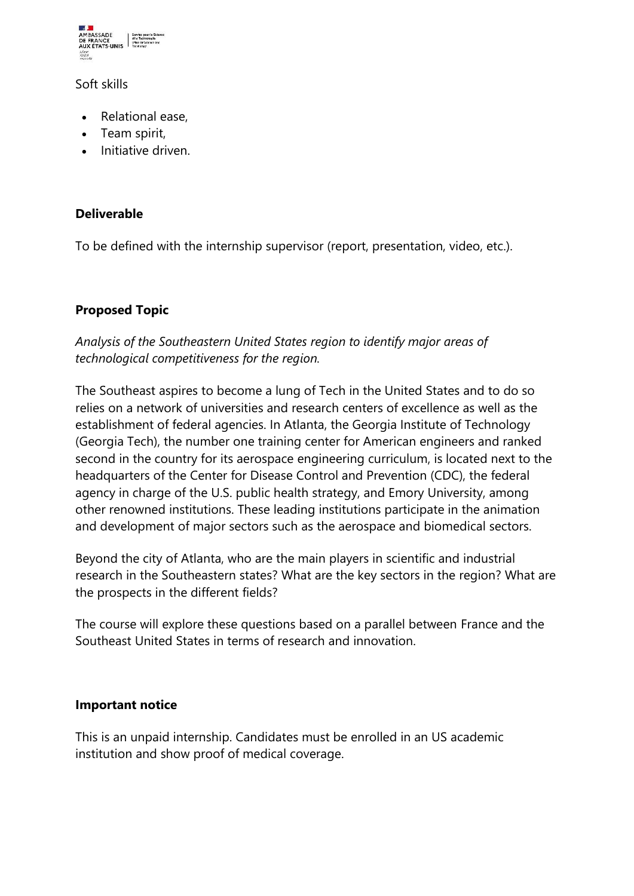

Soft skills

- Relational ease,
- Team spirit,
- Initiative driven.

### **Deliverable**

To be defined with the internship supervisor (report, presentation, video, etc.).

### **Proposed Topic**

*Analysis of the Southeastern United States region to identify major areas of technological competitiveness for the region.*

The Southeast aspires to become a lung of Tech in the United States and to do so relies on a network of universities and research centers of excellence as well as the establishment of federal agencies. In Atlanta, the Georgia Institute of Technology (Georgia Tech), the number one training center for American engineers and ranked second in the country for its aerospace engineering curriculum, is located next to the headquarters of the Center for Disease Control and Prevention (CDC), the federal agency in charge of the U.S. public health strategy, and Emory University, among other renowned institutions. These leading institutions participate in the animation and development of major sectors such as the aerospace and biomedical sectors.

Beyond the city of Atlanta, who are the main players in scientific and industrial research in the Southeastern states? What are the key sectors in the region? What are the prospects in the different fields?

The course will explore these questions based on a parallel between France and the Southeast United States in terms of research and innovation.

### **Important notice**

This is an unpaid internship. Candidates must be enrolled in an US academic institution and show proof of medical coverage.